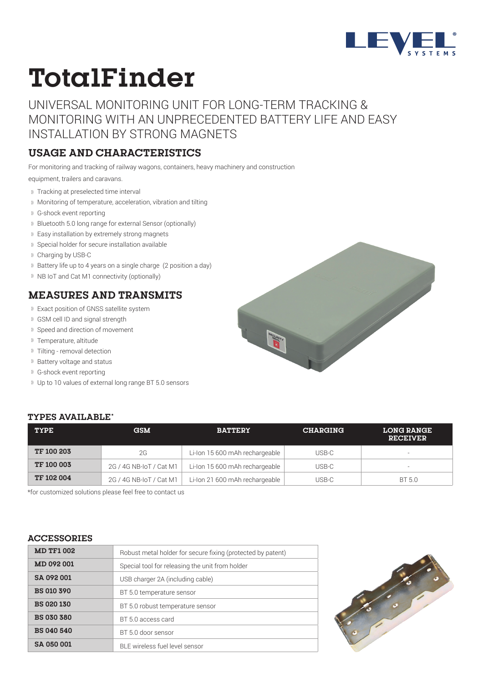

# **TotalFinder**

UNIVERSAL MONITORING UNIT FOR LONG-TERM TRACKING & MONITORING WITH AN UNPRECEDENTED BATTERY LIFE AND EASY INSTALLATION BY STRONG MAGNETS

#### **USAGE AND CHARACTERISTICS**

For monitoring and tracking of railway wagons, containers, heavy machinery and construction

equipment, trailers and caravans.

- Tracking at preselected time interval
- Monitoring of temperature, acceleration, vibration and tilting
- G-shock event reporting
- Bluetooth 5.0 long range for external Sensor (optionally)
- Easy installation by extremely strong magnets
- Special holder for secure installation available
- Charging by USB-C
- 1) Battery life up to 4 years on a single charge (2 position a day)
- <sup>1)</sup> NB IoT and Cat M1 connectivity (optionally)

#### **MEASURES AND TRANSMITS**

- Exact position of GNSS satellite system
- GSM cell ID and signal strength
- <sup>1)</sup> Speed and direction of movement
- Temperature, altitude
- Tilting removal detection
- <sup>1)</sup> Battery voltage and status
- G-shock event reporting
- Up to 10 values of external long range BT 5.0 sensors

#### **TYPES AVAILABLE\***

| TYPE              | <b>GSM</b>              | <b>BATTERY</b>                 | <b>CHARGING</b> | <b>LONG RANGE</b><br><b>RECEIVER</b> |
|-------------------|-------------------------|--------------------------------|-----------------|--------------------------------------|
| <b>TF 100 203</b> | 2G                      | Li-Ion 15 600 mAh rechargeable | USB-C           | $\overline{\phantom{0}}$             |
| <b>TF 100 003</b> | 2G / 4G NB-IoT / Cat M1 | Li-Ion 15 600 mAh rechargeable | USB-C           | $\overline{\phantom{0}}$             |
| <b>TF 102 004</b> | 2G / 4G NB-IoT / Cat M1 | Li-Ion 21 600 mAh rechargeable | USB-C           | BT 5.0                               |

\*for customized solutions please feel free to contact us

#### **ACCESSORIES**

| <b>MD TF1 002</b>                                   | Robust metal holder for secure fixing (protected by patent) |  |  |
|-----------------------------------------------------|-------------------------------------------------------------|--|--|
| <b>MD 092 001</b>                                   | Special tool for releasing the unit from holder             |  |  |
| SA 092 001                                          | USB charger 2A (including cable)                            |  |  |
| <b>BS 010 390</b>                                   | BT 5.0 temperature sensor                                   |  |  |
| <b>BS 020 130</b>                                   | BT 5.0 robust temperature sensor                            |  |  |
| <b>BS 030 380</b>                                   | BT 5.0 access card                                          |  |  |
| <b>BS 040 540</b>                                   | BT 5.0 door sensor                                          |  |  |
| <b>SA 050 001</b><br>BLE wireless fuel level sensor |                                                             |  |  |